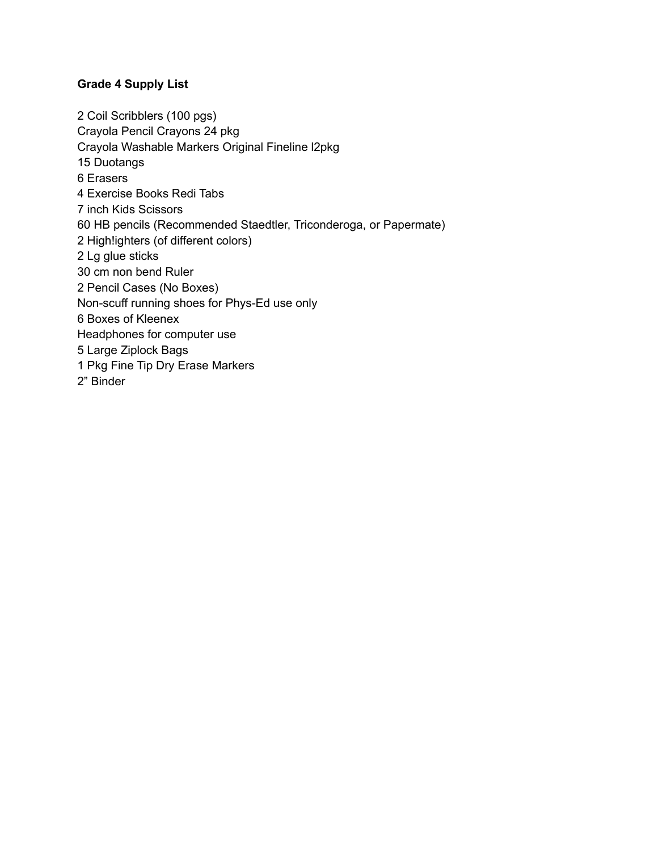### **Grade 4 Supply List**

 Coil Scribblers (100 pgs) Crayola Pencil Crayons 24 pkg Crayola Washable Markers Original Fineline l2pkg Duotangs Erasers Exercise Books Redi Tabs inch Kids Scissors HB pencils (Recommended Staedtler, Triconderoga, or Papermate) High!ighters (of different colors) Lg glue sticks cm non bend Ruler Pencil Cases (No Boxes) Non-scuff running shoes for Phys-Ed use only Boxes of Kleenex Headphones for computer use Large Ziplock Bags Pkg Fine Tip Dry Erase Markers 2" Binder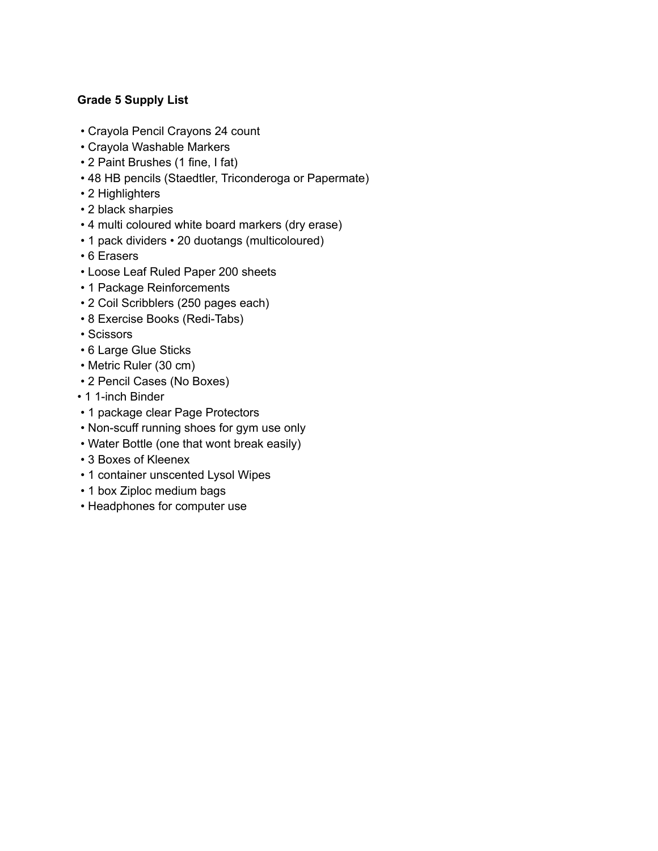# **Grade 5 Supply List**

- Crayola Pencil Crayons 24 count
- Crayola Washable Markers
- 2 Paint Brushes (1 fine, I fat)
- 48 HB pencils (Staedtler, Triconderoga or Papermate)
- 2 Highlighters
- 2 black sharpies
- 4 multi coloured white board markers (dry erase)
- 1 pack dividers 20 duotangs (multicoloured)
- 6 Erasers
- Loose Leaf Ruled Paper 200 sheets
- 1 Package Reinforcements
- 2 Coil Scribblers (250 pages each)
- 8 Exercise Books (Redi-Tabs)
- Scissors
- 6 Large Glue Sticks
- Metric Ruler (30 cm)
- 2 Pencil Cases (No Boxes)
- 1 1-inch Binder
- 1 package clear Page Protectors
- Non-scuff running shoes for gym use only
- Water Bottle (one that wont break easily)
- 3 Boxes of Kleenex
- 1 container unscented Lysol Wipes
- 1 box Ziploc medium bags
- Headphones for computer use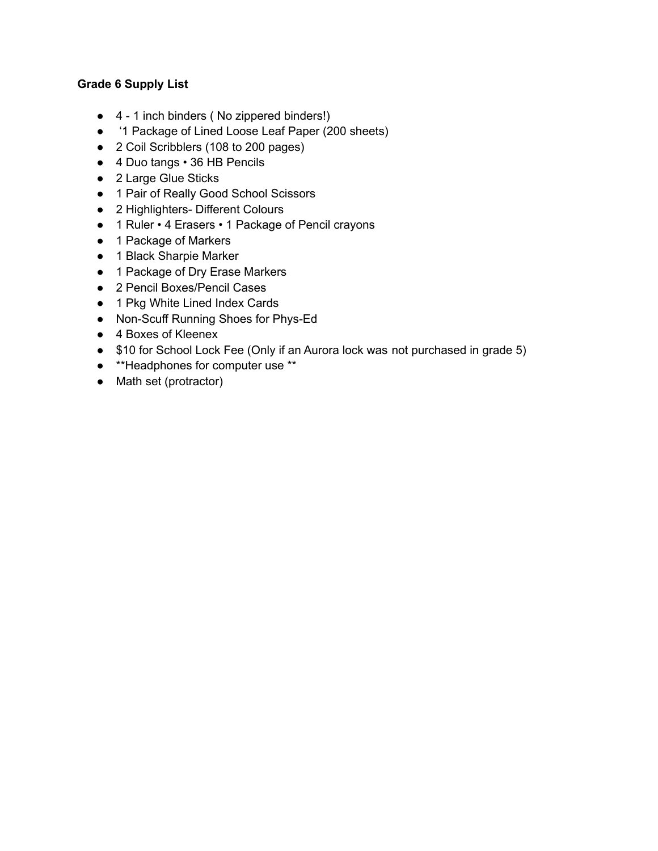## **Grade 6 Supply List**

- 4 1 inch binders ( No zippered binders!)
- '1 Package of Lined Loose Leaf Paper (200 sheets)
- 2 Coil Scribblers (108 to 200 pages)
- 4 Duo tangs 36 HB Pencils
- 2 Large Glue Sticks
- 1 Pair of Really Good School Scissors
- 2 Highlighters- Different Colours
- 1 Ruler 4 Erasers 1 Package of Pencil crayons
- 1 Package of Markers
- 1 Black Sharpie Marker
- 1 Package of Dry Erase Markers
- 2 Pencil Boxes/Pencil Cases
- 1 Pkg White Lined Index Cards
- Non-Scuff Running Shoes for Phys-Ed
- 4 Boxes of Kleenex
- \$10 for School Lock Fee (Only if an Aurora lock was not purchased in grade 5)
- \*\*Headphones for computer use \*\*
- Math set (protractor)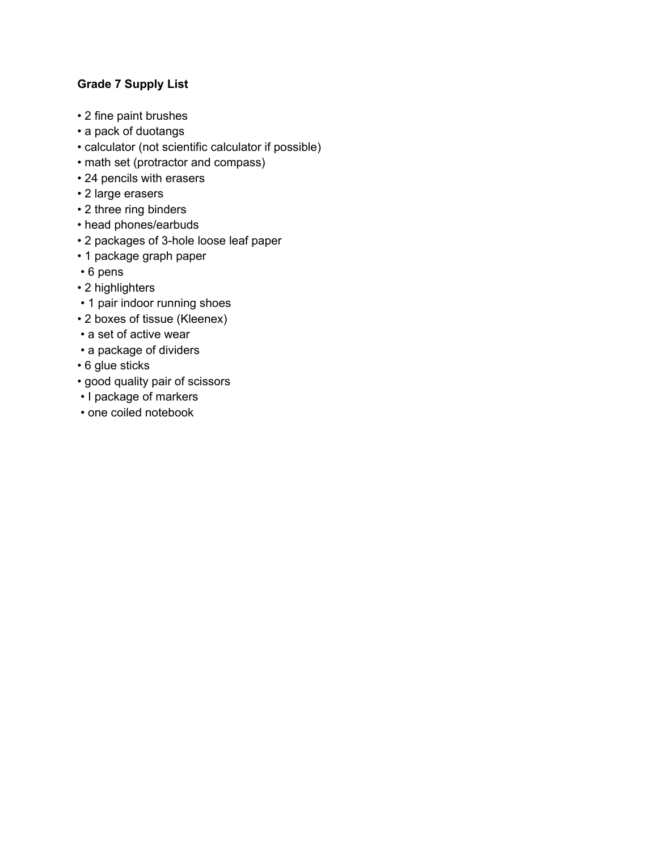# **Grade 7 Supply List**

- 2 fine paint brushes
- a pack of duotangs
- calculator (not scientific calculator if possible)
- math set (protractor and compass)
- 24 pencils with erasers
- 2 large erasers
- 2 three ring binders
- head phones/earbuds
- 2 packages of 3-hole loose leaf paper
- 1 package graph paper
- 6 pens
- 2 highlighters
- 1 pair indoor running shoes
- 2 boxes of tissue (Kleenex)
- a set of active wear
- a package of dividers
- 6 glue sticks
- good quality pair of scissors
- I package of markers
- one coiled notebook